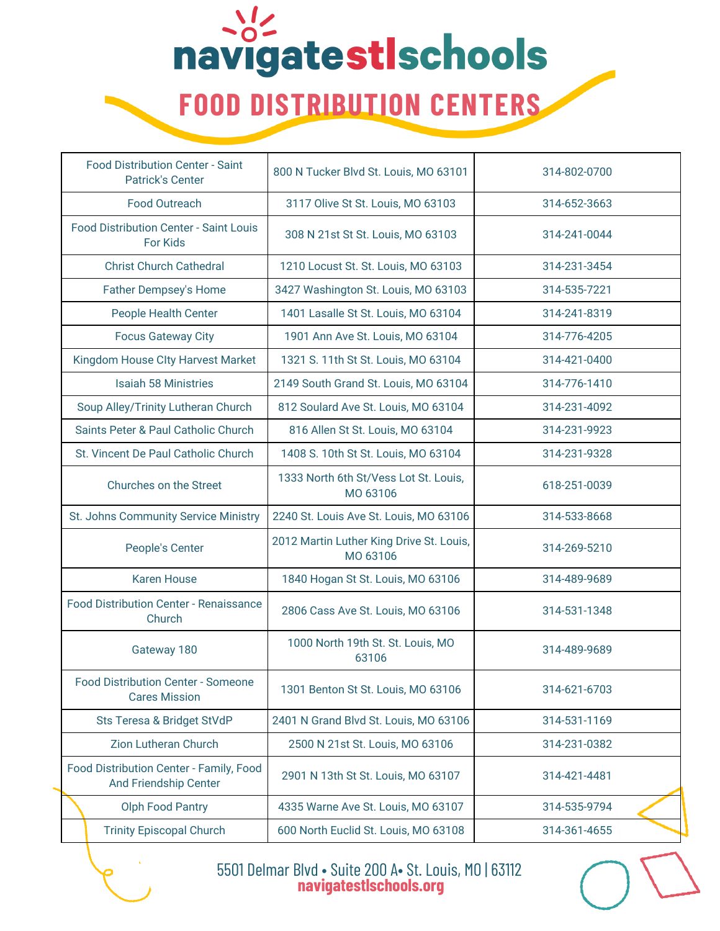## **NEWSTERNITE FOOD DISTRIBUTION CENTERS**

| <b>Food Distribution Center - Saint</b><br><b>Patrick's Center</b> | 800 N Tucker Blvd St. Louis, MO 63101                | 314-802-0700 |
|--------------------------------------------------------------------|------------------------------------------------------|--------------|
| Food Outreach                                                      | 3117 Olive St St. Louis, MO 63103                    | 314-652-3663 |
| <b>Food Distribution Center - Saint Louis</b><br><b>For Kids</b>   | 308 N 21st St St. Louis, MO 63103                    | 314-241-0044 |
| <b>Christ Church Cathedral</b>                                     | 1210 Locust St. St. Louis, MO 63103                  | 314-231-3454 |
| <b>Father Dempsey's Home</b>                                       | 3427 Washington St. Louis, MO 63103                  | 314-535-7221 |
| <b>People Health Center</b>                                        | 1401 Lasalle St St. Louis, MO 63104                  | 314-241-8319 |
| <b>Focus Gateway City</b>                                          | 1901 Ann Ave St. Louis, MO 63104                     | 314-776-4205 |
| Kingdom House Clty Harvest Market                                  | 1321 S. 11th St St. Louis, MO 63104                  | 314-421-0400 |
| <b>Isaiah 58 Ministries</b>                                        | 2149 South Grand St. Louis, MO 63104                 | 314-776-1410 |
| Soup Alley/Trinity Lutheran Church                                 | 812 Soulard Ave St. Louis, MO 63104                  | 314-231-4092 |
| Saints Peter & Paul Catholic Church                                | 816 Allen St St. Louis, MO 63104                     | 314-231-9923 |
| St. Vincent De Paul Catholic Church                                | 1408 S. 10th St St. Louis, MO 63104                  | 314-231-9328 |
| Churches on the Street                                             | 1333 North 6th St/Vess Lot St. Louis,<br>MO 63106    | 618-251-0039 |
| St. Johns Community Service Ministry                               | 2240 St. Louis Ave St. Louis, MO 63106               | 314-533-8668 |
| People's Center                                                    | 2012 Martin Luther King Drive St. Louis,<br>MO 63106 | 314-269-5210 |
| <b>Karen House</b>                                                 | 1840 Hogan St St. Louis, MO 63106                    | 314-489-9689 |
| <b>Food Distribution Center - Renaissance</b><br>Church            | 2806 Cass Ave St. Louis, MO 63106                    | 314-531-1348 |
| Gateway 180                                                        | 1000 North 19th St. St. Louis, MO<br>63106           | 314-489-9689 |
| <b>Food Distribution Center - Someone</b><br><b>Cares Mission</b>  | 1301 Benton St St. Louis, MO 63106                   | 314-621-6703 |
| Sts Teresa & Bridget StVdP                                         | 2401 N Grand Blvd St. Louis, MO 63106                | 314-531-1169 |
| <b>Zion Lutheran Church</b>                                        | 2500 N 21st St. Louis, MO 63106                      | 314-231-0382 |
| Food Distribution Center - Family, Food<br>And Friendship Center   | 2901 N 13th St St. Louis, MO 63107                   | 314-421-4481 |
| <b>Olph Food Pantry</b>                                            | 4335 Warne Ave St. Louis, MO 63107                   | 314-535-9794 |
| <b>Trinity Episcopal Church</b>                                    | 600 North Euclid St. Louis, MO 63108                 | 314-361-4655 |



5501 Delmar Blvd • Suite 200 A• St. Louis, MO | 63112 **navigatestlschools.org**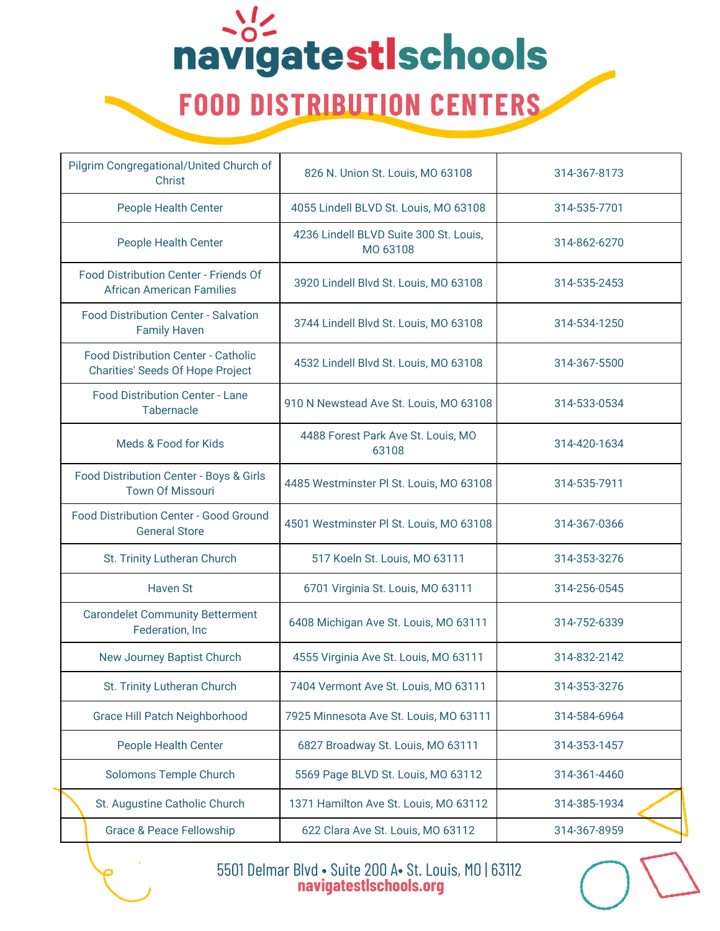## **navigatestischools FOOD DISTRIBUTION CENTERS**

| Pilgrim Congregational/United Church of<br><b>Christ</b>                              | 826 N. Union St. Louis, MO 63108                   | 314-367-8173 |
|---------------------------------------------------------------------------------------|----------------------------------------------------|--------------|
| <b>People Health Center</b>                                                           | 4055 Lindell BLVD St. Louis, MO 63108              | 314-535-7701 |
| <b>People Health Center</b>                                                           | 4236 Lindell BLVD Suite 300 St. Louis,<br>MO 63108 | 314-862-6270 |
| Food Distribution Center - Friends Of<br><b>African American Families</b>             | 3920 Lindell Blvd St. Louis, MO 63108              | 314-535-2453 |
| <b>Food Distribution Center - Salvation</b><br><b>Family Haven</b>                    | 3744 Lindell Blvd St. Louis, MO 63108              | 314-534-1250 |
| <b>Food Distribution Center - Catholic</b><br><b>Charities' Seeds Of Hope Project</b> | 4532 Lindell Blvd St. Louis, MO 63108              | 314-367-5500 |
| <b>Food Distribution Center - Lane</b><br>Tabernacle                                  | 910 N Newstead Ave St. Louis, MO 63108             | 314-533-0534 |
| Meds & Food for Kids                                                                  | 4488 Forest Park Ave St. Louis, MO<br>63108        | 314-420-1634 |
| Food Distribution Center - Boys & Girls<br><b>Town Of Missouri</b>                    | 4485 Westminster PI St. Louis, MO 63108            | 314-535-7911 |
| Food Distribution Center - Good Ground<br><b>General Store</b>                        | 4501 Westminster PI St. Louis, MO 63108            | 314-367-0366 |
| St. Trinity Lutheran Church                                                           | 517 Koeln St. Louis, MO 63111                      | 314-353-3276 |
| <b>Haven St</b>                                                                       | 6701 Virginia St. Louis, MO 63111                  | 314-256-0545 |
| <b>Carondelet Community Betterment</b><br>Federation, Inc                             | 6408 Michigan Ave St. Louis, MO 63111              | 314-752-6339 |
| New Journey Baptist Church                                                            | 4555 Virginia Ave St. Louis, MO 63111              | 314-832-2142 |
| St. Trinity Lutheran Church                                                           | 7404 Vermont Ave St. Louis, MO 63111               | 314-353-3276 |
| Grace Hill Patch Neighborhood                                                         | 7925 Minnesota Ave St. Louis, MO 63111             | 314-584-6964 |
| <b>People Health Center</b>                                                           | 6827 Broadway St. Louis, MO 63111                  | 314-353-1457 |
| Solomons Temple Church                                                                | 5569 Page BLVD St. Louis, MO 63112                 | 314-361-4460 |
| St. Augustine Catholic Church                                                         | 1371 Hamilton Ave St. Louis, MO 63112              | 314-385-1934 |
| <b>Grace &amp; Peace Fellowship</b>                                                   | 622 Clara Ave St. Louis, MO 63112                  | 314-367-8959 |



5501 Delmar Blvd • Suite 200 A• St. Louis, MO | 63112 **navigatestlschools.org**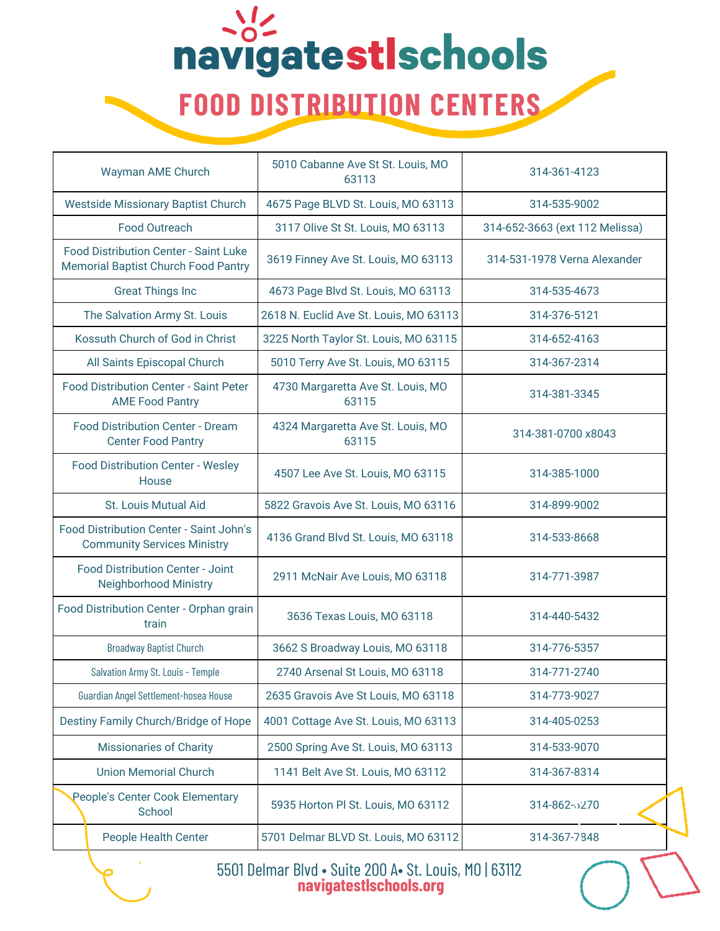## **NEWSTERNITE FOOD DISTRIBUTION CENTERS**

| Wayman AME Church                                                                          | 5010 Cabanne Ave St St. Louis, MO<br>63113 | 314-361-4123                   |
|--------------------------------------------------------------------------------------------|--------------------------------------------|--------------------------------|
| <b>Westside Missionary Baptist Church</b>                                                  | 4675 Page BLVD St. Louis, MO 63113         | 314-535-9002                   |
| <b>Food Outreach</b>                                                                       | 3117 Olive St St. Louis, MO 63113          | 314-652-3663 (ext 112 Melissa) |
| <b>Food Distribution Center - Saint Luke</b><br><b>Memorial Baptist Church Food Pantry</b> | 3619 Finney Ave St. Louis, MO 63113        | 314-531-1978 Verna Alexander   |
| <b>Great Things Inc</b>                                                                    | 4673 Page Blvd St. Louis, MO 63113         | 314-535-4673                   |
| The Salvation Army St. Louis                                                               | 2618 N. Euclid Ave St. Louis, MO 63113     | 314-376-5121                   |
| Kossuth Church of God in Christ                                                            | 3225 North Taylor St. Louis, MO 63115      | 314-652-4163                   |
| All Saints Episcopal Church                                                                | 5010 Terry Ave St. Louis, MO 63115         | 314-367-2314                   |
| <b>Food Distribution Center - Saint Peter</b><br><b>AME Food Pantry</b>                    | 4730 Margaretta Ave St. Louis, MO<br>63115 | 314-381-3345                   |
| <b>Food Distribution Center - Dream</b><br><b>Center Food Pantry</b>                       | 4324 Margaretta Ave St. Louis, MO<br>63115 | 314-381-0700 x8043             |
| <b>Food Distribution Center - Wesley</b><br>House                                          | 4507 Lee Ave St. Louis, MO 63115           | 314-385-1000                   |
| St. Louis Mutual Aid                                                                       | 5822 Gravois Ave St. Louis, MO 63116       | 314-899-9002                   |
| Food Distribution Center - Saint John's<br><b>Community Services Ministry</b>              | 4136 Grand Blvd St. Louis, MO 63118        | 314-533-8668                   |
| <b>Food Distribution Center - Joint</b><br>Neighborhood Ministry                           | 2911 McNair Ave Louis, MO 63118            | 314-771-3987                   |
| Food Distribution Center - Orphan grain<br>train                                           | 3636 Texas Louis, MO 63118                 | 314-440-5432                   |
| <b>Broadway Baptist Church</b>                                                             | 3662 S Broadway Louis, MO 63118            | 314-776-5357                   |
| Salvation Army St. Louis - Temple                                                          | 2740 Arsenal St Louis, MO 63118            | 314-771-2740                   |
| Guardian Angel Settlement-hosea House                                                      | 2635 Gravois Ave St Louis, MO 63118        | 314-773-9027                   |
| Destiny Family Church/Bridge of Hope                                                       | 4001 Cottage Ave St. Louis, MO 63113       | 314-405-0253                   |
| <b>Missionaries of Charity</b>                                                             | 2500 Spring Ave St. Louis, MO 63113        | 314-533-9070                   |
| <b>Union Memorial Church</b>                                                               | 1141 Belt Ave St. Louis, MO 63112          | 314-367-8314                   |
| People's Center Cook Elementary<br>School                                                  | 5935 Horton Pl St. Louis, MO 63112         | 314-862-6270                   |
| People Health Center                                                                       | 5701 Delmar BLVD St. Louis, MO 63112       | 314-367-7848                   |



5501 Delmar Blvd • Suite 200 A• St. Louis, MO | 63112 **navigatestlschools.org**